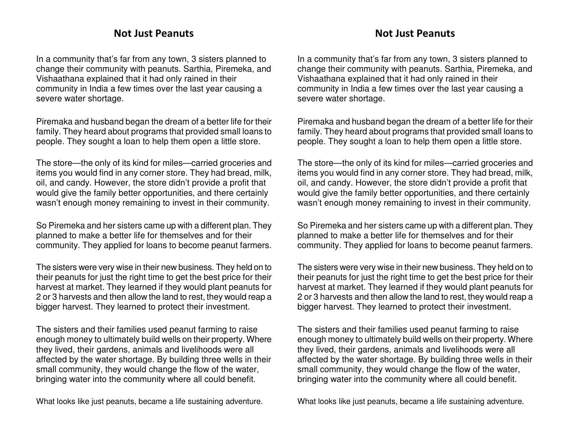## Not Just Peanuts

In a community that's far from any town, 3 sisters planned to change their community with peanuts. Sarthia, Piremeka, and Vishaathana explained that it had only rained in their community in India a few times over the last year causing a severe water shortage.

Piremaka and husband began the dream of a better life for their family. They heard about programs that provided small loans to people. They sought a loan to help them open a little store.

The store—the only of its kind for miles—carried groceries and items you would find in any corner store. They had bread, milk, oil, and candy. However, the store didn't provide a profit that would give the family better opportunities, and there certainly wasn't enough money remaining to invest in their community.

So Piremeka and her sisters came up with a different plan. They planned to make a better life for themselves and for their community. They applied for loans to become peanut farmers.

The sisters were very wise in their new business. They held on to their peanuts for just the right time to get the best price for their harvest at market. They learned if they would plant peanuts for 2 or 3 harvests and then allow the land to rest, they would reap a bigger harvest. They learned to protect their investment.

The sisters and their families used peanut farming to raise enough money to ultimately build wells on their property. Where they lived, their gardens, animals and livelihoods were all affected by the water shortage. By building three wells in their small community, they would change the flow of the water, bringing water into the community where all could benefit.

What looks like just peanuts, became a life sustaining adventure.

## Not Just Peanuts

In a community that's far from any town, 3 sisters planned to change their community with peanuts. Sarthia, Piremeka, and Vishaathana explained that it had only rained in their community in India a few times over the last year causing a severe water shortage.

Piremaka and husband began the dream of a better life for their family. They heard about programs that provided small loans to people. They sought a loan to help them open a little store.

The store—the only of its kind for miles—carried groceries and items you would find in any corner store. They had bread, milk, oil, and candy. However, the store didn't provide a profit that would give the family better opportunities, and there certainly wasn't enough money remaining to invest in their community.

So Piremeka and her sisters came up with a different plan. They planned to make a better life for themselves and for their community. They applied for loans to become peanut farmers.

The sisters were very wise in their new business. They held on to their peanuts for just the right time to get the best price for their harvest at market. They learned if they would plant peanuts for 2 or 3 harvests and then allow the land to rest, they would reap a bigger harvest. They learned to protect their investment.

The sisters and their families used peanut farming to raise enough money to ultimately build wells on their property. Where they lived, their gardens, animals and livelihoods were all affected by the water shortage. By building three wells in their small community, they would change the flow of the water, bringing water into the community where all could benefit.

What looks like just peanuts, became a life sustaining adventure.